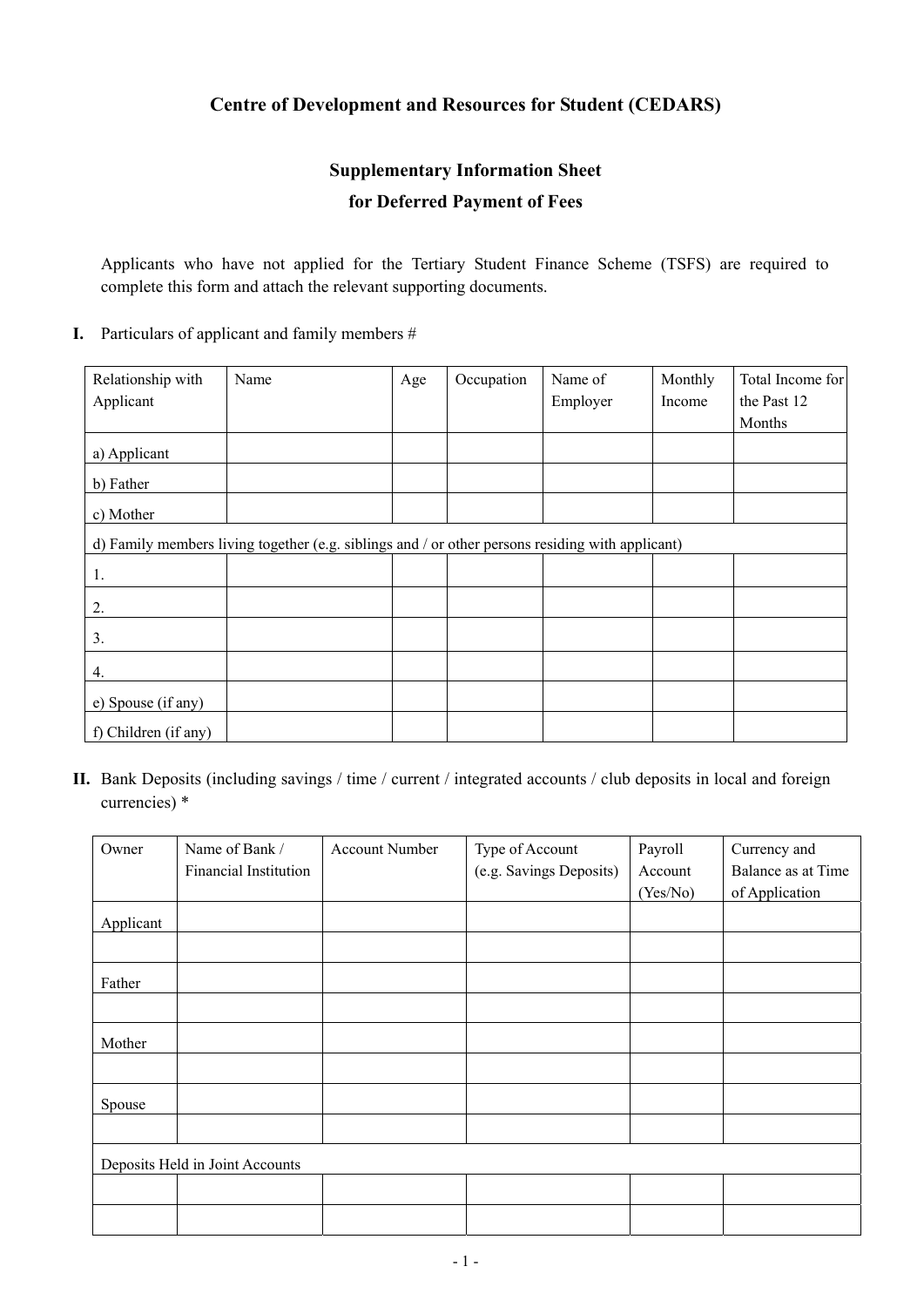### **Centre of Development and Resources for Student (CEDARS)**

# **Supplementary Information Sheet**

## **for Deferred Payment of Fees**

Applicants who have not applied for the Tertiary Student Finance Scheme (TSFS) are required to complete this form and attach the relevant supporting documents.

#### **I.** Particulars of applicant and family members #

| Relationship with                                                                                | Name | Age | Occupation | Name of  | Monthly | Total Income for |  |
|--------------------------------------------------------------------------------------------------|------|-----|------------|----------|---------|------------------|--|
| Applicant                                                                                        |      |     |            | Employer | Income  | the Past 12      |  |
|                                                                                                  |      |     |            |          |         | Months           |  |
| a) Applicant                                                                                     |      |     |            |          |         |                  |  |
| b) Father                                                                                        |      |     |            |          |         |                  |  |
| c) Mother                                                                                        |      |     |            |          |         |                  |  |
| d) Family members living together (e.g. siblings and / or other persons residing with applicant) |      |     |            |          |         |                  |  |
| 1.                                                                                               |      |     |            |          |         |                  |  |
| 2.                                                                                               |      |     |            |          |         |                  |  |
| 3.                                                                                               |      |     |            |          |         |                  |  |
| 4.                                                                                               |      |     |            |          |         |                  |  |
| e) Spouse (if any)                                                                               |      |     |            |          |         |                  |  |
| f) Children (if any)                                                                             |      |     |            |          |         |                  |  |

**II.** Bank Deposits (including savings / time / current / integrated accounts / club deposits in local and foreign currencies) \*

| Owner                           | Name of Bank /        | <b>Account Number</b> | Type of Account         | Payroll  | Currency and       |  |
|---------------------------------|-----------------------|-----------------------|-------------------------|----------|--------------------|--|
|                                 | Financial Institution |                       | (e.g. Savings Deposits) | Account  | Balance as at Time |  |
|                                 |                       |                       |                         | (Yes/No) | of Application     |  |
| Applicant                       |                       |                       |                         |          |                    |  |
|                                 |                       |                       |                         |          |                    |  |
| Father                          |                       |                       |                         |          |                    |  |
|                                 |                       |                       |                         |          |                    |  |
| Mother                          |                       |                       |                         |          |                    |  |
|                                 |                       |                       |                         |          |                    |  |
| Spouse                          |                       |                       |                         |          |                    |  |
|                                 |                       |                       |                         |          |                    |  |
| Deposits Held in Joint Accounts |                       |                       |                         |          |                    |  |
|                                 |                       |                       |                         |          |                    |  |
|                                 |                       |                       |                         |          |                    |  |